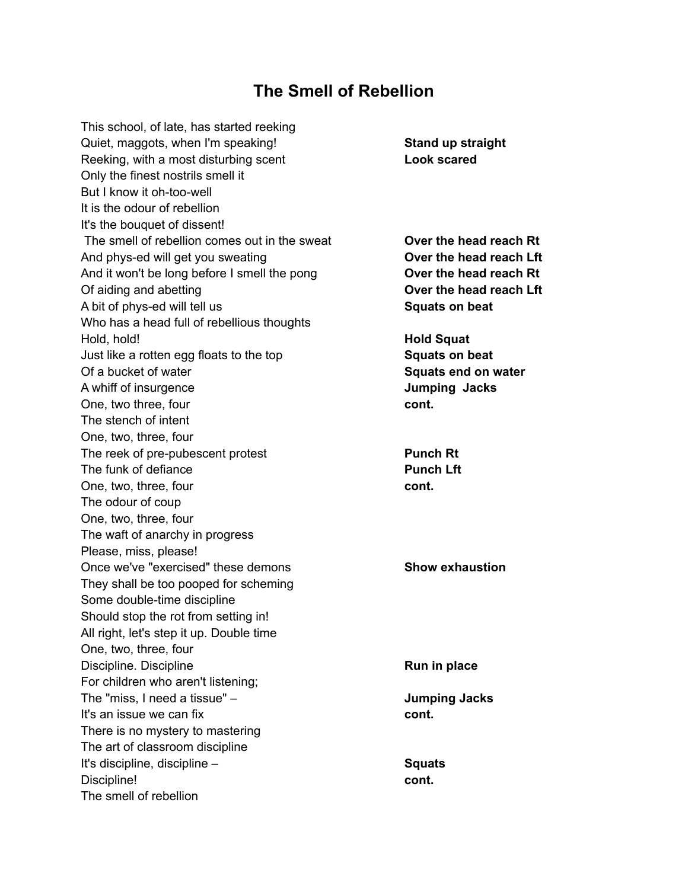## **The Smell of Rebellion**

This school, of late, has started reeking Quiet, maggots, when I'm speaking! **Stand up straight** Reeking, with a most disturbing scent **Look scared** Only the finest nostrils smell it But I know it oh-too-well It is the odour of rebellion It's the bouquet of dissent! The smell of rebellion comes out in the sweat **Over the head reach Rt** And phys-ed will get you sweating **Over the head reach Lft** And it won't be long before I smell the pong **Over the head reach Rt** Of aiding and abetting **Over the head reach Lft** A bit of phys-ed will tell us **Squats on beat** Who has a head full of rebellious thoughts Hold, hold! **Hold Squat** Just like a rotten egg floats to the top **Squats on beat** Of a bucket of water **Squats end on water** A whiff of insurgence **Jumping Jacks** One, two three, four **cont cont**. The stench of intent One, two, three, four The reek of pre-pubescent protest **Punch Rt** The funk of defiance **Punch Lft** One, two, three, four **cont. cont.** The odour of coup One, two, three, four The waft of anarchy in progress Please, miss, please! Once we've "exercised" these demons **Show exhaustion** They shall be too pooped for scheming Some double-time discipline Should stop the rot from setting in! All right, let's step it up. Double time One, two, three, four **Discipline.** Discipline **Run in Run in place** For children who aren't listening; The "miss, I need a tissue" – **Jumping Jacks** It's an issue we can fix **cont** There is no mystery to mastering The art of classroom discipline It's discipline, discipline – **Squats** Discipline! **cont.** The smell of rebellion